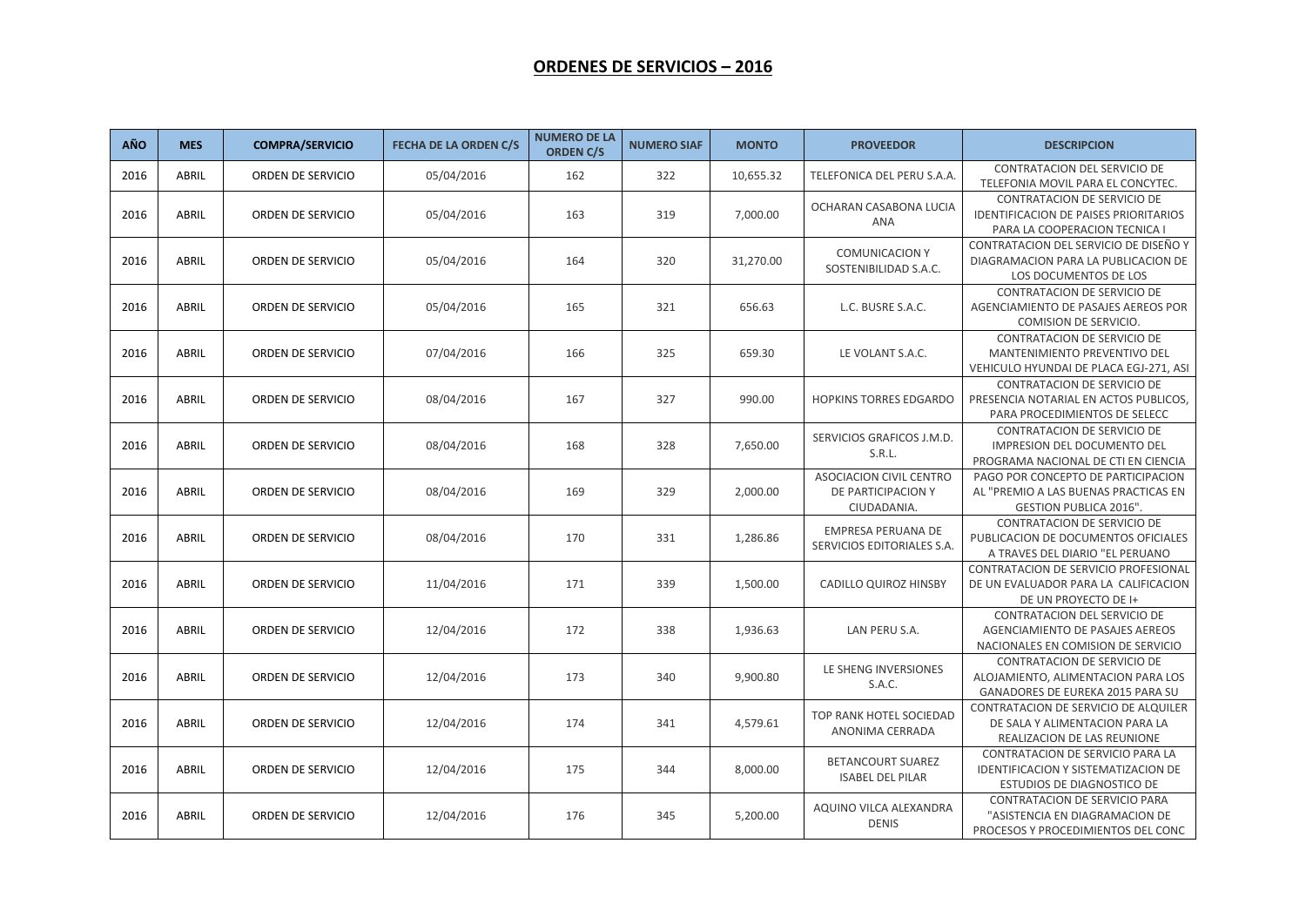## **ORDENES DE SERVICIOS – 2016**

| AÑO  | <b>MES</b>   | <b>COMPRA/SERVICIO</b>   | <b>FECHA DE LA ORDEN C/S</b> | <b>NUMERO DE LA</b><br><b>ORDEN C/S</b> | <b>NUMERO SIAF</b> | <b>MONTO</b> | <b>PROVEEDOR</b>                                                    | <b>DESCRIPCION</b>                                                                                           |
|------|--------------|--------------------------|------------------------------|-----------------------------------------|--------------------|--------------|---------------------------------------------------------------------|--------------------------------------------------------------------------------------------------------------|
| 2016 | ABRIL        | ORDEN DE SERVICIO        | 05/04/2016                   | 162                                     | 322                | 10,655.32    | TELEFONICA DEL PERU S.A.A.                                          | CONTRATACION DEL SERVICIO DE<br>TELEFONIA MOVIL PARA EL CONCYTEC.                                            |
| 2016 | ABRIL        | ORDEN DE SERVICIO        | 05/04/2016                   | 163                                     | 319                | 7,000.00     | OCHARAN CASABONA LUCIA<br>ANA                                       | <b>CONTRATACION DE SERVICIO DE</b><br>IDENTIFICACION DE PAISES PRIORITARIOS<br>PARA LA COOPERACION TECNICA I |
| 2016 | ABRIL        | <b>ORDEN DE SERVICIO</b> | 05/04/2016                   | 164                                     | 320                | 31,270.00    | <b>COMUNICACION Y</b><br>SOSTENIBILIDAD S.A.C.                      | CONTRATACION DEL SERVICIO DE DISEÑO Y<br>DIAGRAMACION PARA LA PUBLICACION DE<br>LOS DOCUMENTOS DE LOS        |
| 2016 | ABRIL        | ORDEN DE SERVICIO        | 05/04/2016                   | 165                                     | 321                | 656.63       | L.C. BUSRE S.A.C.                                                   | <b>CONTRATACION DE SERVICIO DE</b><br>AGENCIAMIENTO DE PASAJES AEREOS POR<br><b>COMISION DE SERVICIO</b>     |
| 2016 | ABRIL        | <b>ORDEN DE SERVICIO</b> | 07/04/2016                   | 166                                     | 325                | 659.30       | LE VOLANT S.A.C.                                                    | CONTRATACION DE SERVICIO DE<br><b>MANTENIMIENTO PREVENTIVO DEL</b><br>VEHICULO HYUNDAI DE PLACA EGJ-271, ASI |
| 2016 | ABRIL        | ORDEN DE SERVICIO        | 08/04/2016                   | 167                                     | 327                | 990.00       | <b>HOPKINS TORRES EDGARDO</b>                                       | <b>CONTRATACION DE SERVICIO DE</b><br>PRESENCIA NOTARIAL EN ACTOS PUBLICOS,<br>PARA PROCEDIMIENTOS DE SELECC |
| 2016 | ABRIL        | ORDEN DE SERVICIO        | 08/04/2016                   | 168                                     | 328                | 7,650.00     | SERVICIOS GRAFICOS J.M.D.<br>S.R.L.                                 | CONTRATACION DE SERVICIO DE<br>IMPRESION DEL DOCUMENTO DEL<br>PROGRAMA NACIONAL DE CTI EN CIENCIA            |
| 2016 | ABRIL        | ORDEN DE SERVICIO        | 08/04/2016                   | 169                                     | 329                | 2,000.00     | <b>ASOCIACION CIVIL CENTRO</b><br>DE PARTICIPACION Y<br>CIUDADANIA. | PAGO POR CONCEPTO DE PARTICIPACION<br>AL "PREMIO A LAS BUENAS PRACTICAS EN<br><b>GESTION PUBLICA 2016".</b>  |
| 2016 | ABRIL        | ORDEN DE SERVICIO        | 08/04/2016                   | 170                                     | 331                | 1,286.86     | EMPRESA PERUANA DE<br>SERVICIOS EDITORIALES S.A.                    | CONTRATACION DE SERVICIO DE<br>PUBLICACION DE DOCUMENTOS OFICIALES<br>A TRAVES DEL DIARIO "EL PERUANO        |
| 2016 | <b>ABRIL</b> | ORDEN DE SERVICIO        | 11/04/2016                   | 171                                     | 339                | 1,500.00     | <b>CADILLO QUIROZ HINSBY</b>                                        | CONTRATACION DE SERVICIO PROFESIONAL<br>DE UN EVALUADOR PARA LA CALIFICACION<br>DE UN PROYECTO DE I+         |
| 2016 | ABRIL        | ORDEN DE SERVICIO        | 12/04/2016                   | 172                                     | 338                | 1,936.63     | LAN PERU S.A.                                                       | CONTRATACION DEL SERVICIO DE<br>AGENCIAMIENTO DE PASAJES AEREOS<br>NACIONALES EN COMISION DE SERVICIO        |
| 2016 | <b>ABRIL</b> | ORDEN DE SERVICIO        | 12/04/2016                   | 173                                     | 340                | 9,900.80     | LE SHENG INVERSIONES<br>S.A.C.                                      | CONTRATACION DE SERVICIO DE<br>ALOJAMIENTO, ALIMENTACION PARA LOS<br>GANADORES DE EUREKA 2015 PARA SU        |
| 2016 | ABRIL        | ORDEN DE SERVICIO        | 12/04/2016                   | 174                                     | 341                | 4,579.61     | TOP RANK HOTEL SOCIEDAD<br>ANONIMA CERRADA                          | CONTRATACION DE SERVICIO DE ALQUILER<br>DE SALA Y ALIMENTACION PARA LA<br>REALIZACION DE LAS REUNIONE        |
| 2016 | ABRIL        | ORDEN DE SERVICIO        | 12/04/2016                   | 175                                     | 344                | 8,000.00     | <b>BETANCOURT SUAREZ</b><br><b>ISABEL DEL PILAR</b>                 | CONTRATACION DE SERVICIO PARA LA<br>IDENTIFICACION Y SISTEMATIZACION DE<br>ESTUDIOS DE DIAGNOSTICO DE        |
| 2016 | ABRIL        | ORDEN DE SERVICIO        | 12/04/2016                   | 176                                     | 345                | 5,200.00     | AQUINO VILCA ALEXANDRA<br><b>DENIS</b>                              | <b>CONTRATACION DE SERVICIO PARA</b><br>"ASISTENCIA EN DIAGRAMACION DE<br>PROCESOS Y PROCEDIMIENTOS DEL CONC |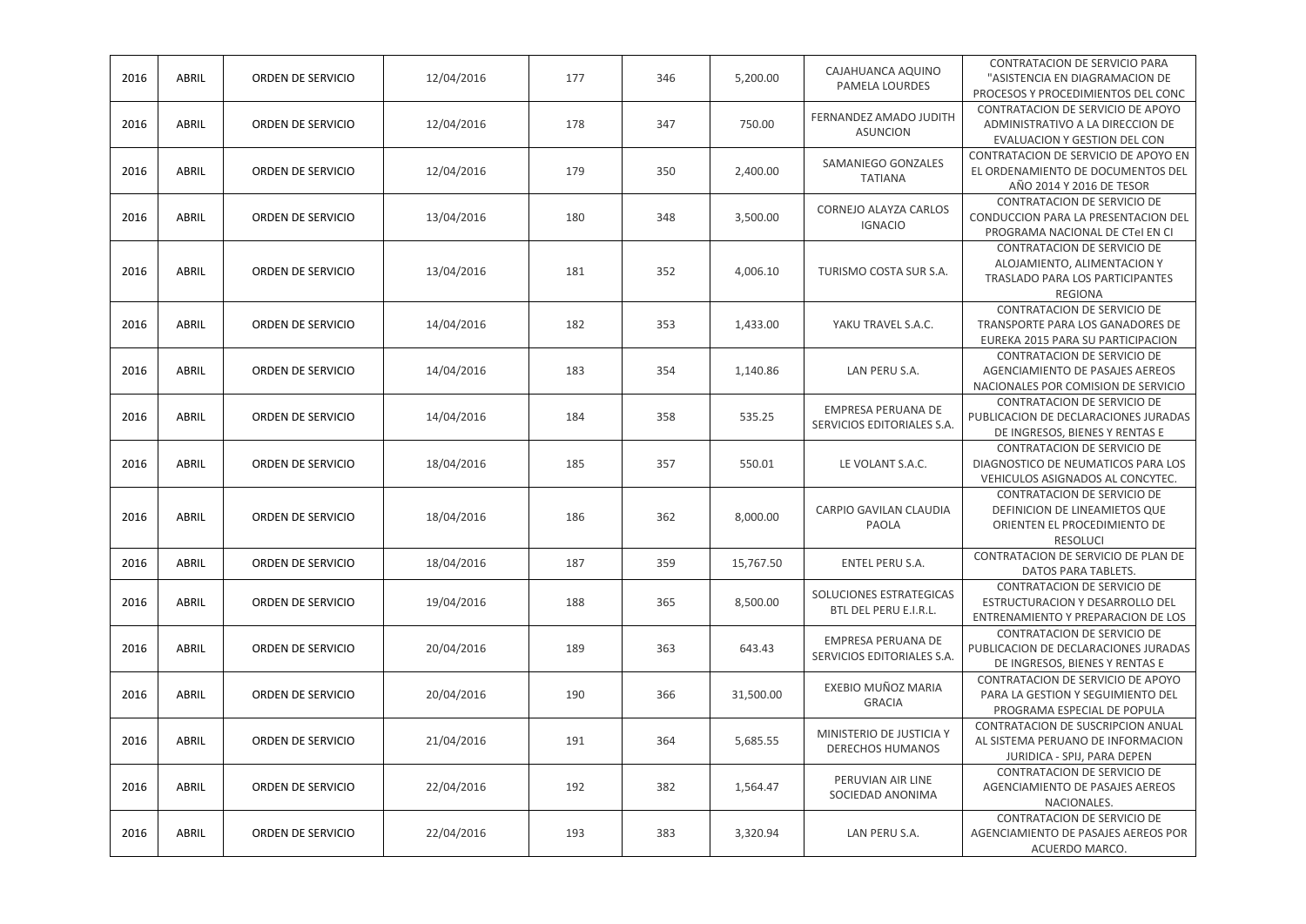| 2016 | ABRIL        | ORDEN DE SERVICIO        | 12/04/2016 | 177 | 346 | 5,200.00  | CAJAHUANCA AQUINO<br>PAMELA LOURDES                 | CONTRATACION DE SERVICIO PARA<br>"ASISTENCIA EN DIAGRAMACION DE<br>PROCESOS Y PROCEDIMIENTOS DEL CONC           |
|------|--------------|--------------------------|------------|-----|-----|-----------|-----------------------------------------------------|-----------------------------------------------------------------------------------------------------------------|
| 2016 | ABRIL        | <b>ORDEN DE SERVICIO</b> | 12/04/2016 | 178 | 347 | 750.00    | FERNANDEZ AMADO JUDITH<br><b>ASUNCION</b>           | CONTRATACION DE SERVICIO DE APOYO<br>ADMINISTRATIVO A LA DIRECCION DE<br>EVALUACION Y GESTION DEL CON           |
| 2016 | ABRIL        | ORDEN DE SERVICIO        | 12/04/2016 | 179 | 350 | 2,400.00  | SAMANIEGO GONZALES<br><b>TATIANA</b>                | CONTRATACION DE SERVICIO DE APOYO EN<br>EL ORDENAMIENTO DE DOCUMENTOS DEL<br>AÑO 2014 Y 2016 DE TESOR           |
| 2016 | ABRIL        | ORDEN DE SERVICIO        | 13/04/2016 | 180 | 348 | 3,500.00  | CORNEJO ALAYZA CARLOS<br><b>IGNACIO</b>             | CONTRATACION DE SERVICIO DE<br>CONDUCCION PARA LA PRESENTACION DEL<br>PROGRAMA NACIONAL DE CTel EN CI           |
| 2016 | ABRIL        | ORDEN DE SERVICIO        | 13/04/2016 | 181 | 352 | 4,006.10  | TURISMO COSTA SUR S.A.                              | CONTRATACION DE SERVICIO DE<br>ALOJAMIENTO, ALIMENTACION Y<br>TRASLADO PARA LOS PARTICIPANTES<br><b>REGIONA</b> |
| 2016 | ABRIL        | ORDEN DE SERVICIO        | 14/04/2016 | 182 | 353 | 1,433.00  | YAKU TRAVEL S.A.C.                                  | CONTRATACION DE SERVICIO DE<br>TRANSPORTE PARA LOS GANADORES DE<br>EUREKA 2015 PARA SU PARTICIPACION            |
| 2016 | ABRIL        | ORDEN DE SERVICIO        | 14/04/2016 | 183 | 354 | 1,140.86  | LAN PERU S.A.                                       | CONTRATACION DE SERVICIO DE<br>AGENCIAMIENTO DE PASAJES AEREOS<br>NACIONALES POR COMISION DE SERVICIO           |
| 2016 | ABRIL        | ORDEN DE SERVICIO        | 14/04/2016 | 184 | 358 | 535.25    | EMPRESA PERUANA DE<br>SERVICIOS EDITORIALES S.A.    | CONTRATACION DE SERVICIO DE<br>PUBLICACION DE DECLARACIONES JURADAS<br>DE INGRESOS, BIENES Y RENTAS E           |
| 2016 | ABRIL        | ORDEN DE SERVICIO        | 18/04/2016 | 185 | 357 | 550.01    | LE VOLANT S.A.C.                                    | CONTRATACION DE SERVICIO DE<br>DIAGNOSTICO DE NEUMATICOS PARA LOS<br>VEHICULOS ASIGNADOS AL CONCYTEC.           |
| 2016 | ABRIL        | ORDEN DE SERVICIO        | 18/04/2016 | 186 | 362 | 8,000.00  | CARPIO GAVILAN CLAUDIA<br>PAOLA                     | CONTRATACION DE SERVICIO DE<br>DEFINICION DE LINEAMIETOS QUE<br>ORIENTEN EL PROCEDIMIENTO DE<br><b>RESOLUCI</b> |
| 2016 | ABRIL        | ORDEN DE SERVICIO        | 18/04/2016 | 187 | 359 | 15,767.50 | ENTEL PERU S.A.                                     | CONTRATACION DE SERVICIO DE PLAN DE<br>DATOS PARA TABLETS.                                                      |
| 2016 | ABRIL        | ORDEN DE SERVICIO        | 19/04/2016 | 188 | 365 | 8,500.00  | SOLUCIONES ESTRATEGICAS<br>BTL DEL PERU E.I.R.L.    | CONTRATACION DE SERVICIO DE<br>ESTRUCTURACION Y DESARROLLO DEL<br>ENTRENAMIENTO Y PREPARACION DE LOS            |
| 2016 | ABRIL        | ORDEN DE SERVICIO        | 20/04/2016 | 189 | 363 | 643.43    | EMPRESA PERUANA DE<br>SERVICIOS EDITORIALES S.A.    | CONTRATACION DE SERVICIO DE<br>PUBLICACION DE DECLARACIONES JURADAS<br>DE INGRESOS, BIENES Y RENTAS E           |
| 2016 | <b>ABRIL</b> | ORDEN DE SERVICIO        | 20/04/2016 | 190 | 366 | 31,500.00 | EXEBIO MUÑOZ MARIA<br><b>GRACIA</b>                 | CONTRATACION DE SERVICIO DE APOYO<br>PARA LA GESTION Y SEGUIMIENTO DEL<br>PROGRAMA ESPECIAL DE POPULA           |
| 2016 | ABRIL        | ORDEN DE SERVICIO        | 21/04/2016 | 191 | 364 | 5,685.55  | MINISTERIO DE JUSTICIA Y<br><b>DERECHOS HUMANOS</b> | CONTRATACION DE SUSCRIPCION ANUAL<br>AL SISTEMA PERUANO DE INFORMACION<br>JURIDICA - SPIJ, PARA DEPEN           |
| 2016 | ABRIL        | ORDEN DE SERVICIO        | 22/04/2016 | 192 | 382 | 1,564.47  | PERUVIAN AIR LINE<br>SOCIEDAD ANONIMA               | CONTRATACION DE SERVICIO DE<br>AGENCIAMIENTO DE PASAJES AEREOS<br>NACIONALES.                                   |
| 2016 | ABRIL        | ORDEN DE SERVICIO        | 22/04/2016 | 193 | 383 | 3,320.94  | LAN PERU S.A.                                       | CONTRATACION DE SERVICIO DE<br>AGENCIAMIENTO DE PASAJES AEREOS POR<br>ACUERDO MARCO.                            |